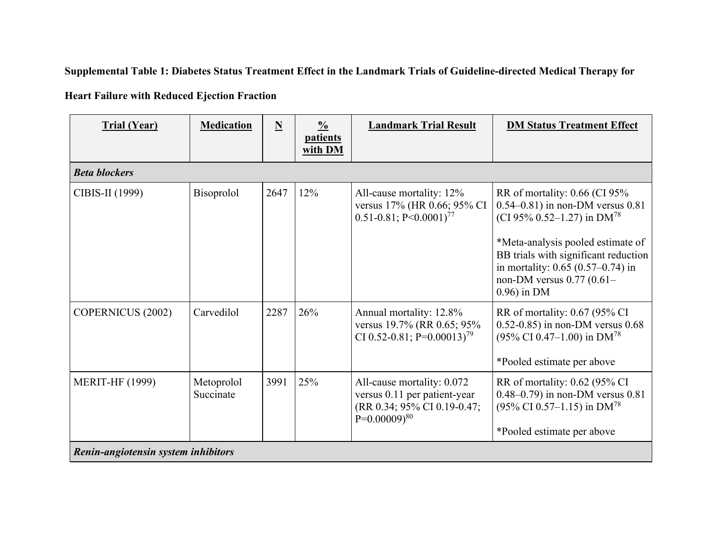Supplemental Table 1: Diabetes Status Treatment Effect in the Landmark Trials of Guideline-directed Medical Therapy for

**Heart Failure with Reduced Ejection Fraction**

| <b>Trial (Year)</b>                 | <b>Medication</b>       | N    | $\frac{0}{0}$<br><b>patients</b><br>with DM | <b>Landmark Trial Result</b>                                                                                   | <b>DM Status Treatment Effect</b>                                                                                                                                                                                                                                                         |  |  |
|-------------------------------------|-------------------------|------|---------------------------------------------|----------------------------------------------------------------------------------------------------------------|-------------------------------------------------------------------------------------------------------------------------------------------------------------------------------------------------------------------------------------------------------------------------------------------|--|--|
| <b>Beta blockers</b>                |                         |      |                                             |                                                                                                                |                                                                                                                                                                                                                                                                                           |  |  |
| CIBIS-II (1999)                     | Bisoprolol              | 2647 | 12%                                         | All-cause mortality: 12%<br>versus 17% (HR 0.66; 95% CI<br>$0.51 - 0.81$ ; P<0.0001) <sup>77</sup>             | RR of mortality: $0.66$ (CI 95%<br>$0.54 - 0.81$ ) in non-DM versus $0.81$<br>(CI 95% 0.52–1.27) in DM <sup>78</sup><br>*Meta-analysis pooled estimate of<br>BB trials with significant reduction<br>in mortality: $0.65$ (0.57–0.74) in<br>non-DM versus $0.77(0.61 -$<br>$0.96$ ) in DM |  |  |
| <b>COPERNICUS (2002)</b>            | Carvedilol              | 2287 | 26%                                         | Annual mortality: 12.8%<br>versus 19.7% (RR 0.65; 95%<br>CI 0.52-0.81; P=0.00013) <sup>79</sup>                | RR of mortality: 0.67 (95% CI)<br>$0.52 - 0.85$ ) in non-DM versus $0.68$<br>$(95\% \text{ CI } 0.47-1.00)$ in DM <sup>78</sup><br>*Pooled estimate per above                                                                                                                             |  |  |
| <b>MERIT-HF (1999)</b>              | Metoprolol<br>Succinate | 3991 | 25%                                         | All-cause mortality: 0.072<br>versus 0.11 per patient-year<br>(RR 0.34; 95% CI 0.19-0.47;<br>$P=0.00009)^{80}$ | RR of mortality: 0.62 (95% CI<br>$0.48 - 0.79$ ) in non-DM versus $0.81$<br>$(95\% \text{ CI } 0.57-1.15)$ in DM <sup>78</sup><br>*Pooled estimate per above                                                                                                                              |  |  |
| Renin-angiotensin system inhibitors |                         |      |                                             |                                                                                                                |                                                                                                                                                                                                                                                                                           |  |  |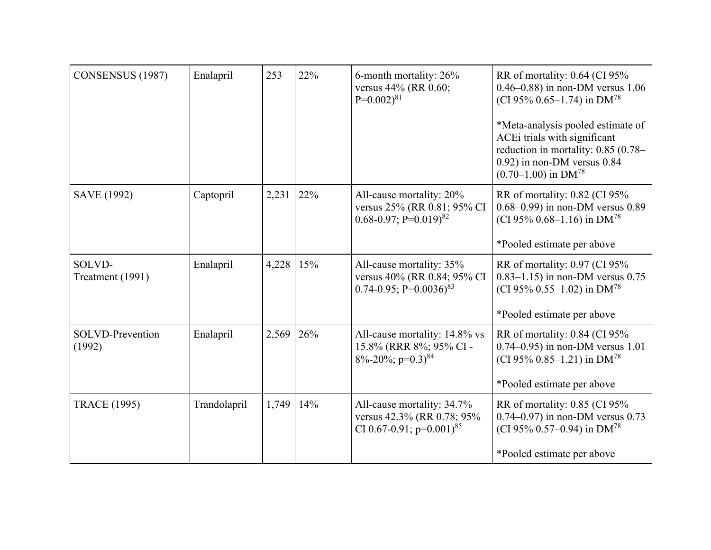| CONSENSUS (1987)           | Enalapril    | 253   | 22% | 6-month mortality: 26%<br>versus 44% (RR 0.60;<br>$P=0.002$ <sup>81</sup>                            | RR of mortality: 0.64 (CI 95%<br>0.46–0.88) in non-DM versus $1.06$<br>(CI 95% 0.65–1.74) in DM <sup>78</sup>                                                                     |
|----------------------------|--------------|-------|-----|------------------------------------------------------------------------------------------------------|-----------------------------------------------------------------------------------------------------------------------------------------------------------------------------------|
|                            |              |       |     |                                                                                                      | *Meta-analysis pooled estimate of<br>ACEi trials with significant<br>reduction in mortality: 0.85 (0.78-<br>$0.92$ ) in non-DM versus $0.84$<br>$(0.70-1.00)$ in DM <sup>78</sup> |
| SAVE (1992)                | Captopril    | 2,231 | 22% | All-cause mortality: 20%<br>versus 25% (RR 0.81; 95% CI<br>$0.68 - 0.97$ ; P= $0.019$ <sup>82</sup>  | RR of mortality: 0.82 (CI 95%<br>0.68-0.99) in non-DM versus 0.89<br>(CI 95% 0.68–1.16) in DM <sup>78</sup>                                                                       |
|                            |              |       |     |                                                                                                      | *Pooled estimate per above                                                                                                                                                        |
| SOLVD-<br>Treatment (1991) | Enalapril    | 4,228 | 15% | All-cause mortality: 35%<br>versus 40% (RR 0.84; 95% CI<br>$0.74 - 0.95$ ; P= $0.0036$ <sup>83</sup> | RR of mortality: 0.97 (CI 95%<br>$0.83 - 1.15$ ) in non-DM versus 0.75<br>(CI 95% 0.55–1.02) in DM <sup>78</sup>                                                                  |
|                            |              |       |     |                                                                                                      | *Pooled estimate per above                                                                                                                                                        |
| SOLVD-Prevention<br>(1992) | Enalapril    | 2,569 | 26% | All-cause mortality: 14.8% vs<br>15.8% (RRR 8%; 95% CI-<br>$8\% - 20\%$ ; p=0.3) <sup>84</sup>       | RR of mortality: 0.84 (CI 95%<br>$0.74 - 0.95$ ) in non-DM versus 1.01<br>(CI 95% 0.85–1.21) in DM <sup>78</sup>                                                                  |
|                            |              |       |     |                                                                                                      | *Pooled estimate per above                                                                                                                                                        |
| <b>TRACE (1995)</b>        | Trandolapril | 1,749 | 14% | All-cause mortality: 34.7%<br>versus 42.3% (RR 0.78; 95%<br>CI 0.67-0.91; $p=0.001$ <sup>85</sup>    | RR of mortality: 0.85 (CI 95%<br>$0.74 - 0.97$ ) in non-DM versus 0.73<br>(CI 95% 0.57–0.94) in $DM^{78}$                                                                         |
|                            |              |       |     |                                                                                                      | *Pooled estimate per above                                                                                                                                                        |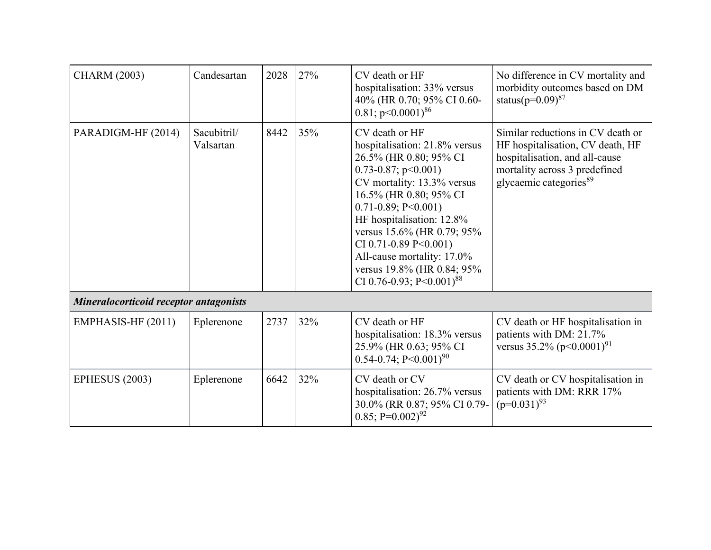| <b>CHARM (2003)</b>                    | Candesartan              | 2028 | 27% | CV death or HF<br>hospitalisation: 33% versus<br>40% (HR 0.70; 95% CI 0.60-<br>$0.81$ ; p $0.0001$ <sup>86</sup>                                                                                                                                                                                                                                                                     | No difference in CV mortality and<br>morbidity outcomes based on DM<br>status( $p=0.09$ ) <sup>87</sup>                                                                        |  |
|----------------------------------------|--------------------------|------|-----|--------------------------------------------------------------------------------------------------------------------------------------------------------------------------------------------------------------------------------------------------------------------------------------------------------------------------------------------------------------------------------------|--------------------------------------------------------------------------------------------------------------------------------------------------------------------------------|--|
| PARADIGM-HF (2014)                     | Sacubitril/<br>Valsartan | 8442 | 35% | CV death or HF<br>hospitalisation: 21.8% versus<br>26.5% (HR 0.80; 95% CI<br>$0.73 - 0.87$ ; p $0.001$ )<br>CV mortality: 13.3% versus<br>16.5% (HR 0.80; 95% CI<br>$0.71 - 0.89$ ; P<0.001)<br>HF hospitalisation: 12.8%<br>versus 15.6% (HR 0.79; 95%<br>CI 0.71-0.89 P<0.001)<br>All-cause mortality: 17.0%<br>versus 19.8% (HR 0.84; 95%<br>CI 0.76-0.93; P<0.001) <sup>88</sup> | Similar reductions in CV death or<br>HF hospitalisation, CV death, HF<br>hospitalisation, and all-cause<br>mortality across 3 predefined<br>glycaemic categories <sup>89</sup> |  |
| Mineralocorticoid receptor antagonists |                          |      |     |                                                                                                                                                                                                                                                                                                                                                                                      |                                                                                                                                                                                |  |
| EMPHASIS-HF (2011)                     | Eplerenone               | 2737 | 32% | CV death or HF<br>hospitalisation: 18.3% versus<br>25.9% (HR 0.63; 95% CI<br>$0.54 - 0.74$ ; P<0.001) <sup>90</sup>                                                                                                                                                                                                                                                                  | CV death or HF hospitalisation in<br>patients with DM: 21.7%<br>versus $35.2\%$ (p<0.0001) <sup>91</sup>                                                                       |  |
| <b>EPHESUS (2003)</b>                  | Eplerenone               | 6642 | 32% | CV death or CV<br>hospitalisation: 26.7% versus<br>30.0% (RR 0.87; 95% CI 0.79-<br>$0.85; P=0.002$ <sup>92</sup>                                                                                                                                                                                                                                                                     | CV death or CV hospitalisation in<br>patients with DM: RRR 17%<br>$(p=0.031)^{93}$                                                                                             |  |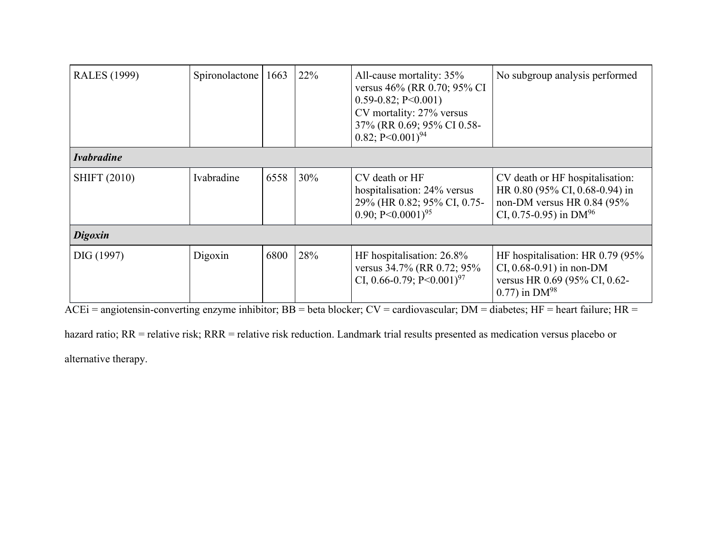| <b>RALES</b> (1999) | Spironolactone | 1663 | 22% | All-cause mortality: 35%<br>versus 46% (RR 0.70; 95% CI<br>$0.59 - 0.82$ ; P<0.001)<br>CV mortality: 27% versus<br>37% (RR 0.69; 95% CI 0.58-<br>$0.82; P<0.001$ <sup>94</sup> | No subgroup analysis performed                                                                                                     |  |
|---------------------|----------------|------|-----|--------------------------------------------------------------------------------------------------------------------------------------------------------------------------------|------------------------------------------------------------------------------------------------------------------------------------|--|
| <b>Ivabradine</b>   |                |      |     |                                                                                                                                                                                |                                                                                                                                    |  |
| <b>SHIFT (2010)</b> | Ivabradine     | 6558 | 30% | CV death or HF<br>hospitalisation: 24% versus<br>29% (HR 0.82; 95% CI, 0.75-<br>0.90; P<0.0001) <sup>95</sup>                                                                  | CV death or HF hospitalisation:<br>HR 0.80 (95% CI, 0.68-0.94) in<br>non-DM versus HR 0.84 (95%<br>CI, 0.75-0.95) in $DM^{96}$     |  |
| <b>Digoxin</b>      |                |      |     |                                                                                                                                                                                |                                                                                                                                    |  |
| DIG (1997)          | Digoxin        | 6800 | 28% | HF hospitalisation: 26.8%<br>versus 34.7% (RR 0.72; 95%)<br>CI, 0.66-0.79; $P \le 0.001$ <sup>97</sup>                                                                         | HF hospitalisation: HR 0.79 (95%<br>CI, $0.68 - 0.91$ ) in non-DM<br>versus HR 0.69 (95% CI, 0.62-<br>$0.77$ ) in DM <sup>98</sup> |  |

 $ACEi = angiotensin-converting enzyme inhibitor; BB = beta blocker; CV = cardiovascular; DM = diabetes; HF = heart failure; HR = 1)$ 

hazard ratio; RR = relative risk; RRR = relative risk reduction. Landmark trial results presented as medication versus placebo or

alternative therapy.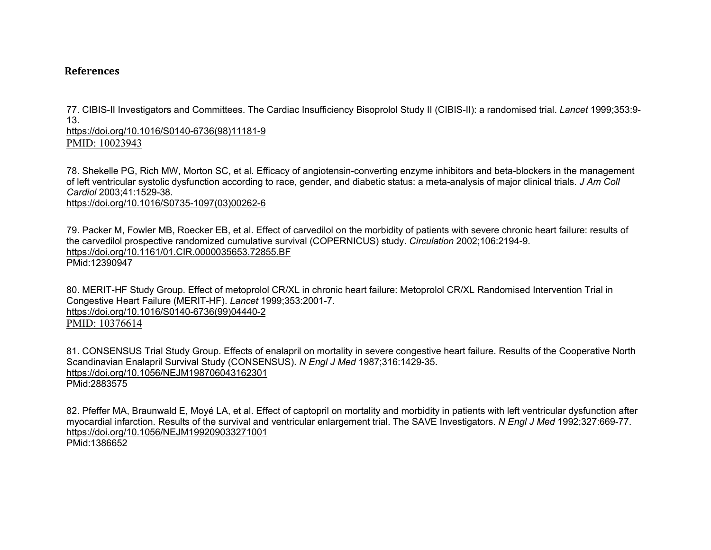## **References**

77. CIBIS-II Investigators and Committees. The Cardiac Insufficiency Bisoprolol Study II (CIBIS-II): a randomised trial. *Lancet* 1999;353:9- 13.

[https://doi.org/10.1016/S0140-6736\(98\)11181-9](https://doi.org/10.1016/S0140-6736(98)11181-9)

PMID: 10023943

78. Shekelle PG, Rich MW, Morton SC, et al. Efficacy of angiotensin-converting enzyme inhibitors and beta-blockers in the management of left ventricular systolic dysfunction according to race, gender, and diabetic status: a meta-analysis of major clinical trials. *J Am Coll Cardiol* 2003;41:1529-38. [https://doi.org/10.1016/S0735-1097\(03\)00262-6](https://doi.org/10.1016/S0735-1097(03)00262-6)

79. Packer M, Fowler MB, Roecker EB, et al. Effect of carvedilol on the morbidity of patients with severe chronic heart failure: results of the carvedilol prospective randomized cumulative survival (COPERNICUS) study. *Circulation* 2002;106:2194-9. <https://doi.org/10.1161/01.CIR.0000035653.72855.BF> PMid:12390947

80. MERIT-HF Study Group. Effect of metoprolol CR/XL in chronic heart failure: Metoprolol CR/XL Randomised Intervention Trial in Congestive Heart Failure (MERIT-HF). *Lancet* 1999;353:2001-7. [https://doi.org/10.1016/S0140-6736\(99\)04440-2](https://doi.org/10.1016/S0140-6736(99)04440-2) PMID: 10376614

81. CONSENSUS Trial Study Group. Effects of enalapril on mortality in severe congestive heart failure. Results of the Cooperative North Scandinavian Enalapril Survival Study (CONSENSUS). *N Engl J Med* 1987;316:1429-35. <https://doi.org/10.1056/NEJM198706043162301> PMid:2883575

82. Pfeffer MA, Braunwald E, Moyé LA, et al. Effect of captopril on mortality and morbidity in patients with left ventricular dysfunction after myocardial infarction. Results of the survival and ventricular enlargement trial. The SAVE Investigators. *N Engl J Med* 1992;327:669-77. <https://doi.org/10.1056/NEJM199209033271001> PMid:1386652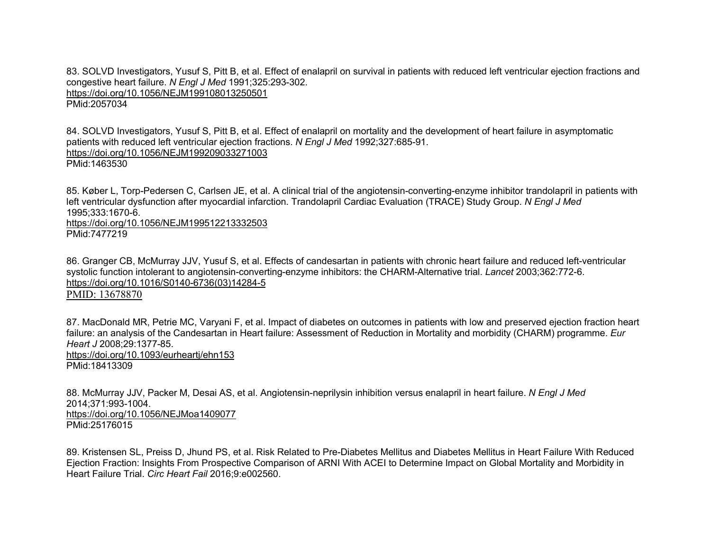83. SOLVD Investigators, Yusuf S, Pitt B, et al. Effect of enalapril on survival in patients with reduced left ventricular ejection fractions and congestive heart failure. *N Engl J Med* 1991;325:293-302. <https://doi.org/10.1056/NEJM199108013250501> PMid:2057034

84. SOLVD Investigators, Yusuf S, Pitt B, et al. Effect of enalapril on mortality and the development of heart failure in asymptomatic patients with reduced left ventricular ejection fractions. *N Engl J Med* 1992;327:685-91. <https://doi.org/10.1056/NEJM199209033271003> PMid:1463530

85. Køber L, Torp-Pedersen C, Carlsen JE, et al. A clinical trial of the angiotensin-converting-enzyme inhibitor trandolapril in patients with left ventricular dysfunction after myocardial infarction. Trandolapril Cardiac Evaluation (TRACE) Study Group. *N Engl J Med* 1995;333:1670-6.

<https://doi.org/10.1056/NEJM199512213332503> PMid:7477219

86. Granger CB, McMurray JJV, Yusuf S, et al. Effects of candesartan in patients with chronic heart failure and reduced left-ventricular systolic function intolerant to angiotensin-converting-enzyme inhibitors: the CHARM-Alternative trial. *Lancet* 2003;362:772-6. [https://doi.org/10.1016/S0140-6736\(03\)14284-5](https://doi.org/10.1016/S0140-6736(03)14284-5)

PMID: 13678870

87. MacDonald MR, Petrie MC, Varyani F, et al. Impact of diabetes on outcomes in patients with low and preserved ejection fraction heart failure: an analysis of the Candesartan in Heart failure: Assessment of Reduction in Mortality and morbidity (CHARM) programme. *Eur Heart J* 2008;29:1377-85. <https://doi.org/10.1093/eurheartj/ehn153> PMid:18413309

88. McMurray JJV, Packer M, Desai AS, et al. Angiotensin-neprilysin inhibition versus enalapril in heart failure. *N Engl J Med* 2014;371:993-1004. <https://doi.org/10.1056/NEJMoa1409077> PMid:25176015

89. Kristensen SL, Preiss D, Jhund PS, et al. Risk Related to Pre-Diabetes Mellitus and Diabetes Mellitus in Heart Failure With Reduced Ejection Fraction: Insights From Prospective Comparison of ARNI With ACEI to Determine Impact on Global Mortality and Morbidity in Heart Failure Trial. *Circ Heart Fail* 2016;9:e002560.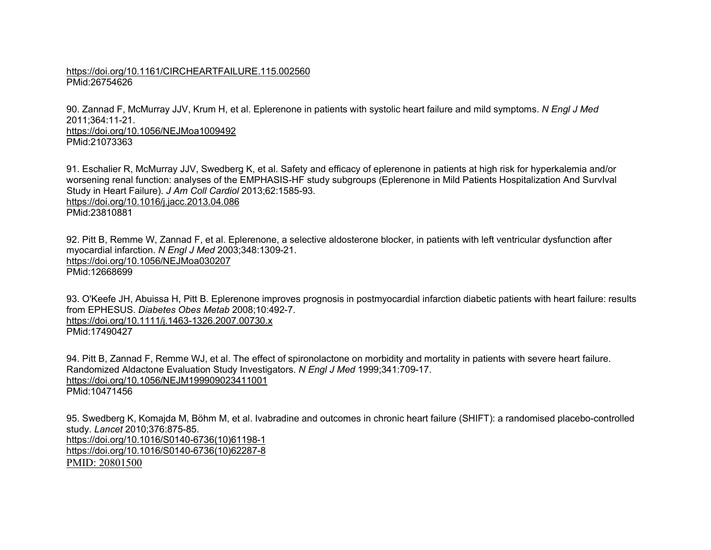## <https://doi.org/10.1161/CIRCHEARTFAILURE.115.002560> PMid:26754626

90. Zannad F, McMurray JJV, Krum H, et al. Eplerenone in patients with systolic heart failure and mild symptoms. *N Engl J Med* 2011;364:11-21. <https://doi.org/10.1056/NEJMoa1009492>

PMid:21073363

91. Eschalier R, McMurray JJV, Swedberg K, et al. Safety and efficacy of eplerenone in patients at high risk for hyperkalemia and/or worsening renal function: analyses of the EMPHASIS-HF study subgroups (Eplerenone in Mild Patients Hospitalization And SurvIval Study in Heart Failure). *J Am Coll Cardiol* 2013;62:1585-93. <https://doi.org/10.1016/j.jacc.2013.04.086> PMid:23810881

92. Pitt B, Remme W, Zannad F, et al. Eplerenone, a selective aldosterone blocker, in patients with left ventricular dysfunction after myocardial infarction. *N Engl J Med* 2003;348:1309-21. <https://doi.org/10.1056/NEJMoa030207> PMid:12668699

93. O'Keefe JH, Abuissa H, Pitt B. Eplerenone improves prognosis in postmyocardial infarction diabetic patients with heart failure: results from EPHESUS. *Diabetes Obes Metab* 2008;10:492-7. <https://doi.org/10.1111/j.1463-1326.2007.00730.x> PMid:17490427

94. Pitt B, Zannad F, Remme WJ, et al. The effect of spironolactone on morbidity and mortality in patients with severe heart failure. Randomized Aldactone Evaluation Study Investigators. *N Engl J Med* 1999;341:709-17. <https://doi.org/10.1056/NEJM199909023411001> PMid:10471456

95. Swedberg K, Komajda M, Böhm M, et al. Ivabradine and outcomes in chronic heart failure (SHIFT): a randomised placebo-controlled study. *Lancet* 2010;376:875-85. [https://doi.org/10.1016/S0140-6736\(10\)61198-1](https://doi.org/10.1016/S0140-6736(10)61198-1) [https://doi.org/10.1016/S0140-6736\(10\)62287-8](https://doi.org/10.1016/S0140-6736(10)62287-8) PMID: 20801500